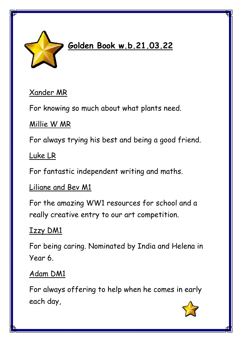

# **Golden Book w.b.21.03.22**

### Xander MR

For knowing so much about what plants need.

#### Millie W MR

For always trying his best and being a good friend.

#### Luke LR

For fantastic independent writing and maths.

#### Liliane and Bev M1

For the amazing WW1 resources for school and a really creative entry to our art competition.

#### Izzy DM1

For being caring. Nominated by India and Helena in Year 6.

### Adam DM1

For always offering to help when he comes in early each day,

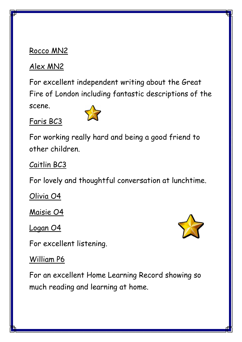#### Rocco MN2

# Alex MN2

For excellent independent writing about the Great Fire of London including fantastic descriptions of the scene.

### Faris BC3



For working really hard and being a good friend to other children.

Caitlin BC3

For lovely and thoughtful conversation at lunchtime.

Olivia O4

Maisie O4

Logan O4

For excellent listening.

### William P6

For an excellent Home Learning Record showing so much reading and learning at home.